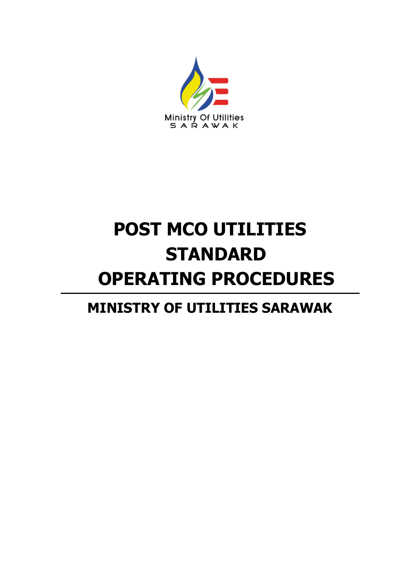

# **POST MCO UTILITIES STANDARD OPERATING PROCEDURES**

# **MINISTRY OF UTILITIES SARAWAK**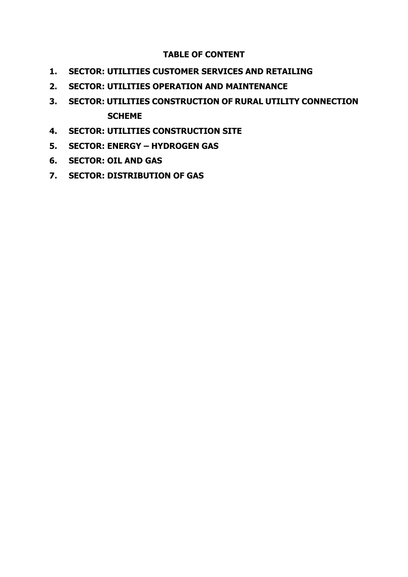#### **TABLE OF CONTENT**

- **1. SECTOR: UTILITIES CUSTOMER SERVICES AND RETAILING**
- **2. SECTOR: UTILITIES OPERATION AND MAINTENANCE**
- **3. SECTOR: UTILITIES CONSTRUCTION OF RURAL UTILITY CONNECTION SCHEME**
- **4. SECTOR: UTILITIES CONSTRUCTION SITE**
- **5. SECTOR: ENERGY – HYDROGEN GAS**
- **6. SECTOR: OIL AND GAS**
- **7. SECTOR: DISTRIBUTION OF GAS**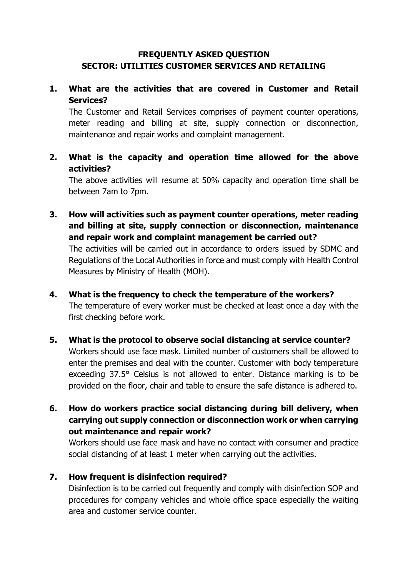#### **FREQUENTLY ASKED QUESTION SECTOR: UTILITIES CUSTOMER SERVICES AND RETAILING**

# **1. What are the activities that are covered in Customer and Retail Services?**

The Customer and Retail Services comprises of payment counter operations, meter reading and billing at site, supply connection or disconnection, maintenance and repair works and complaint management.

# **2. What is the capacity and operation time allowed for the above activities?**

The above activities will resume at 50% capacity and operation time shall be between 7am to 7pm.

- **3. How will activities such as payment counter operations, meter reading and billing at site, supply connection or disconnection, maintenance and repair work and complaint management be carried out?**  The activities will be carried out in accordance to orders issued by SDMC and Regulations of the Local Authorities in force and must comply with Health Control Measures by Ministry of Health (MOH).
- **4. What is the frequency to check the temperature of the workers?** The temperature of every worker must be checked at least once a day with the first checking before work.
- **5. What is the protocol to observe social distancing at service counter?** Workers should use face mask. Limited number of customers shall be allowed to enter the premises and deal with the counter. Customer with body temperature exceeding 37.5° Celsius is not allowed to enter. Distance marking is to be provided on the floor, chair and table to ensure the safe distance is adhered to.
- **6. How do workers practice social distancing during bill delivery, when carrying out supply connection or disconnection work or when carrying out maintenance and repair work?**

Workers should use face mask and have no contact with consumer and practice social distancing of at least 1 meter when carrying out the activities.

### **7. How frequent is disinfection required?**

Disinfection is to be carried out frequently and comply with disinfection SOP and procedures for company vehicles and whole office space especially the waiting area and customer service counter.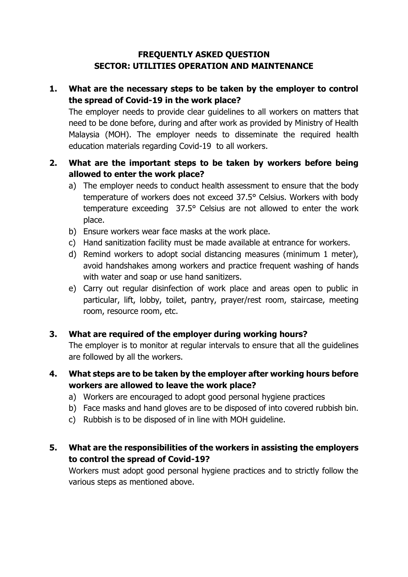### **FREQUENTLY ASKED QUESTION SECTOR: UTILITIES OPERATION AND MAINTENANCE**

# **1. What are the necessary steps to be taken by the employer to control the spread of Covid-19 in the work place?**

The employer needs to provide clear guidelines to all workers on matters that need to be done before, during and after work as provided by Ministry of Health Malaysia (MOH). The employer needs to disseminate the required health education materials regarding Covid-19 to all workers.

# **2. What are the important steps to be taken by workers before being allowed to enter the work place?**

- a) The employer needs to conduct health assessment to ensure that the body temperature of workers does not exceed 37.5° Celsius. Workers with body temperature exceeding 37.5° Celsius are not allowed to enter the work place.
- b) Ensure workers wear face masks at the work place.
- c) Hand sanitization facility must be made available at entrance for workers.
- d) Remind workers to adopt social distancing measures (minimum 1 meter), avoid handshakes among workers and practice frequent washing of hands with water and soap or use hand sanitizers.
- e) Carry out regular disinfection of work place and areas open to public in particular, lift, lobby, toilet, pantry, prayer/rest room, staircase, meeting room, resource room, etc.

### **3. What are required of the employer during working hours?**

The employer is to monitor at regular intervals to ensure that all the guidelines are followed by all the workers.

- **4. What steps are to be taken by the employer after working hours before workers are allowed to leave the work place?**
	- a) Workers are encouraged to adopt good personal hygiene practices
	- b) Face masks and hand gloves are to be disposed of into covered rubbish bin.
	- c) Rubbish is to be disposed of in line with MOH guideline.
- **5. What are the responsibilities of the workers in assisting the employers to control the spread of Covid-19?**

Workers must adopt good personal hygiene practices and to strictly follow the various steps as mentioned above.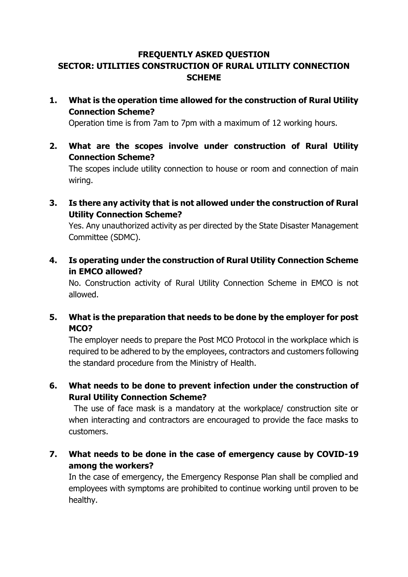# **FREQUENTLY ASKED QUESTION SECTOR: UTILITIES CONSTRUCTION OF RURAL UTILITY CONNECTION SCHEME**

**1. What is the operation time allowed for the construction of Rural Utility Connection Scheme?**

Operation time is from 7am to 7pm with a maximum of 12 working hours.

**2. What are the scopes involve under construction of Rural Utility Connection Scheme?**

The scopes include utility connection to house or room and connection of main wiring.

**3. Is there any activity that is not allowed under the construction of Rural Utility Connection Scheme?**

Yes. Any unauthorized activity as per directed by the State Disaster Management Committee (SDMC).

**4. Is operating under the construction of Rural Utility Connection Scheme in EMCO allowed?**

No. Construction activity of Rural Utility Connection Scheme in EMCO is not allowed.

**5. What is the preparation that needs to be done by the employer for post MCO?**

The employer needs to prepare the Post MCO Protocol in the workplace which is required to be adhered to by the employees, contractors and customers following the standard procedure from the Ministry of Health.

**6. What needs to be done to prevent infection under the construction of Rural Utility Connection Scheme?**

The use of face mask is a mandatory at the workplace/ construction site or when interacting and contractors are encouraged to provide the face masks to customers.

**7. What needs to be done in the case of emergency cause by COVID-19 among the workers?**

In the case of emergency, the Emergency Response Plan shall be complied and employees with symptoms are prohibited to continue working until proven to be healthy.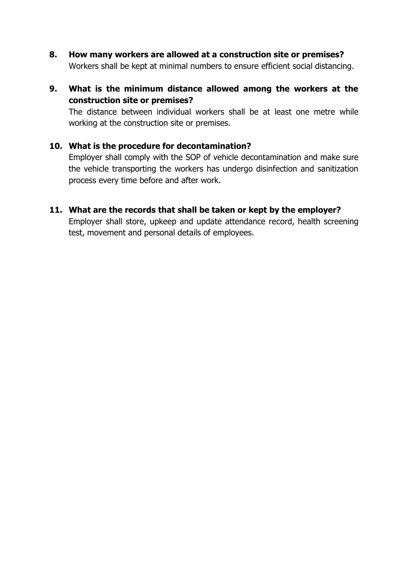- **8. How many workers are allowed at a construction site or premises?** Workers shall be kept at minimal numbers to ensure efficient social distancing.
- **9. What is the minimum distance allowed among the workers at the construction site or premises?**

The distance between individual workers shall be at least one metre while working at the construction site or premises.

#### **10. What is the procedure for decontamination?**

Employer shall comply with the SOP of vehicle decontamination and make sure the vehicle transporting the workers has undergo disinfection and sanitization process every time before and after work.

#### **11. What are the records that shall be taken or kept by the employer?**

Employer shall store, upkeep and update attendance record, health screening test, movement and personal details of employees.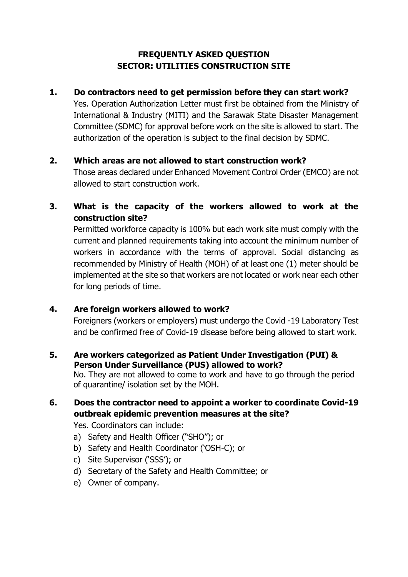# **FREQUENTLY ASKED QUESTION SECTOR: UTILITIES CONSTRUCTION SITE**

#### **1. Do contractors need to get permission before they can start work?**

Yes. Operation Authorization Letter must first be obtained from the Ministry of International & Industry (MITI) and the Sarawak State Disaster Management Committee (SDMC) for approval before work on the site is allowed to start. The authorization of the operation is subject to the final decision by SDMC.

#### **2. Which areas are not allowed to start construction work?**

Those areas declared under Enhanced Movement Control Order (EMCO) are not allowed to start construction work.

# **3. What is the capacity of the workers allowed to work at the construction site?**

Permitted workforce capacity is 100% but each work site must comply with the current and planned requirements taking into account the minimum number of workers in accordance with the terms of approval. Social distancing as recommended by Ministry of Health (MOH) of at least one (1) meter should be implemented at the site so that workers are not located or work near each other for long periods of time.

### **4. Are foreign workers allowed to work?**

Foreigners (workers or employers) must undergo the Covid -19 Laboratory Test and be confirmed free of Covid-19 disease before being allowed to start work.

#### **5. Are workers categorized as Patient Under Investigation (PUI) & Person Under Surveillance (PUS) allowed to work?**

No. They are not allowed to come to work and have to go through the period of quarantine/ isolation set by the MOH.

### **6. Does the contractor need to appoint a worker to coordinate Covid-19 outbreak epidemic prevention measures at the site?**

Yes. Coordinators can include:

- a) Safety and Health Officer ("SHO"); or
- b) Safety and Health Coordinator ('OSH-C); or
- c) Site Supervisor ('SSS'); or
- d) Secretary of the Safety and Health Committee; or
- e) Owner of company.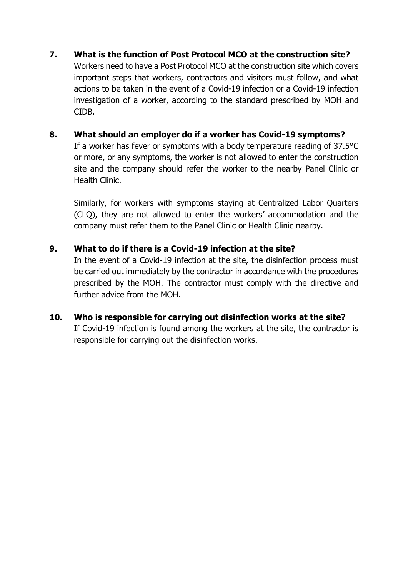#### **7. What is the function of Post Protocol MCO at the construction site?**

Workers need to have a Post Protocol MCO at the construction site which covers important steps that workers, contractors and visitors must follow, and what actions to be taken in the event of a Covid-19 infection or a Covid-19 infection investigation of a worker, according to the standard prescribed by MOH and CIDB.

#### **8. What should an employer do if a worker has Covid-19 symptoms?**

If a worker has fever or symptoms with a body temperature reading of 37.5°C or more, or any symptoms, the worker is not allowed to enter the construction site and the company should refer the worker to the nearby Panel Clinic or Health Clinic.

Similarly, for workers with symptoms staying at Centralized Labor Quarters (CLQ), they are not allowed to enter the workers' accommodation and the company must refer them to the Panel Clinic or Health Clinic nearby.

#### **9. What to do if there is a Covid-19 infection at the site?**

In the event of a Covid-19 infection at the site, the disinfection process must be carried out immediately by the contractor in accordance with the procedures prescribed by the MOH. The contractor must comply with the directive and further advice from the MOH.

#### **10. Who is responsible for carrying out disinfection works at the site?**

If Covid-19 infection is found among the workers at the site, the contractor is responsible for carrying out the disinfection works.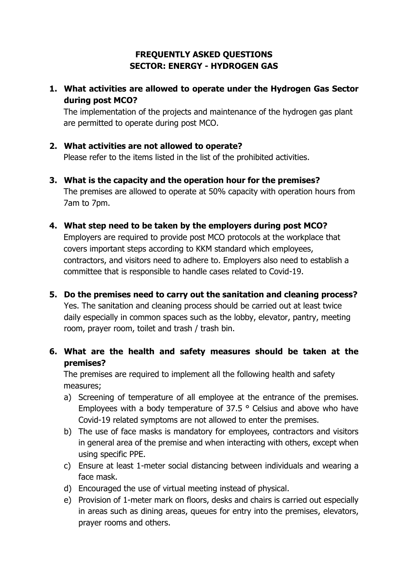# **FREQUENTLY ASKED QUESTIONS SECTOR: ENERGY - HYDROGEN GAS**

**1. What activities are allowed to operate under the Hydrogen Gas Sector during post MCO?**

The implementation of the projects and maintenance of the hydrogen gas plant are permitted to operate during post MCO.

#### **2. What activities are not allowed to operate?**

Please refer to the items listed in the list of the prohibited activities.

- **3. What is the capacity and the operation hour for the premises?** The premises are allowed to operate at 50% capacity with operation hours from 7am to 7pm.
- **4. What step need to be taken by the employers during post MCO?**

Employers are required to provide post MCO protocols at the workplace that covers important steps according to KKM standard which employees, contractors, and visitors need to adhere to. Employers also need to establish a committee that is responsible to handle cases related to Covid-19.

**5. Do the premises need to carry out the sanitation and cleaning process?**  Yes. The sanitation and cleaning process should be carried out at least twice daily especially in common spaces such as the lobby, elevator, pantry, meeting room, prayer room, toilet and trash / trash bin.

# **6. What are the health and safety measures should be taken at the premises?**

The premises are required to implement all the following health and safety measures;

- a) Screening of temperature of all employee at the entrance of the premises. Employees with a body temperature of 37.5 ° Celsius and above who have Covid-19 related symptoms are not allowed to enter the premises.
- b) The use of face masks is mandatory for employees, contractors and visitors in general area of the premise and when interacting with others, except when using specific PPE.
- c) Ensure at least 1-meter social distancing between individuals and wearing a face mask.
- d) Encouraged the use of virtual meeting instead of physical.
- e) Provision of 1-meter mark on floors, desks and chairs is carried out especially in areas such as dining areas, queues for entry into the premises, elevators, prayer rooms and others.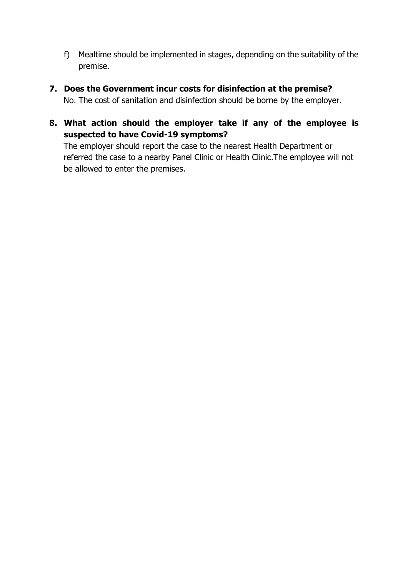- f) Mealtime should be implemented in stages, depending on the suitability of the premise.
- **7. Does the Government incur costs for disinfection at the premise?** No. The cost of sanitation and disinfection should be borne by the employer.
- **8. What action should the employer take if any of the employee is suspected to have Covid-19 symptoms?**

The employer should report the case to the nearest Health Department or referred the case to a nearby Panel Clinic or Health Clinic.The employee will not be allowed to enter the premises.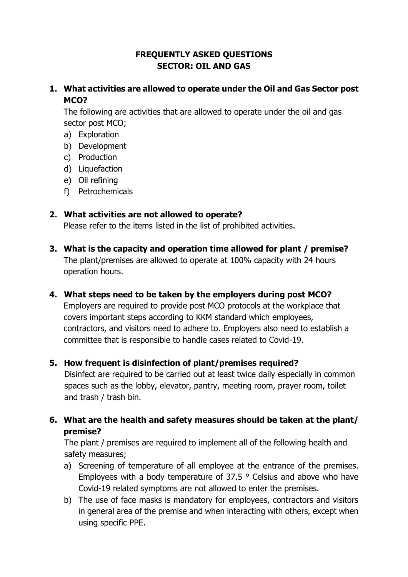# **FREQUENTLY ASKED QUESTIONS SECTOR: OIL AND GAS**

# **1. What activities are allowed to operate under the Oil and Gas Sector post MCO?**

The following are activities that are allowed to operate under the oil and gas sector post MCO;

- a) Exploration
- b) Development
- c) Production
- d) Liquefaction
- e) Oil refining
- f) Petrochemicals

#### **2. What activities are not allowed to operate?**

Please refer to the items listed in the list of prohibited activities.

- **3. What is the capacity and operation time allowed for plant / premise?** The plant/premises are allowed to operate at 100% capacity with 24 hours operation hours.
- **4. What steps need to be taken by the employers during post MCO?** Employers are required to provide post MCO protocols at the workplace that covers important steps according to KKM standard which employees, contractors, and visitors need to adhere to. Employers also need to establish a committee that is responsible to handle cases related to Covid-19.

### **5. How frequent is disinfection of plant/premises required?**

Disinfect are required to be carried out at least twice daily especially in common spaces such as the lobby, elevator, pantry, meeting room, prayer room, toilet and trash / trash bin.

**6. What are the health and safety measures should be taken at the plant/ premise?**

The plant / premises are required to implement all of the following health and safety measures;

- a) Screening of temperature of all employee at the entrance of the premises. Employees with a body temperature of 37.5 ° Celsius and above who have Covid-19 related symptoms are not allowed to enter the premises.
- b) The use of face masks is mandatory for employees, contractors and visitors in general area of the premise and when interacting with others, except when using specific PPE.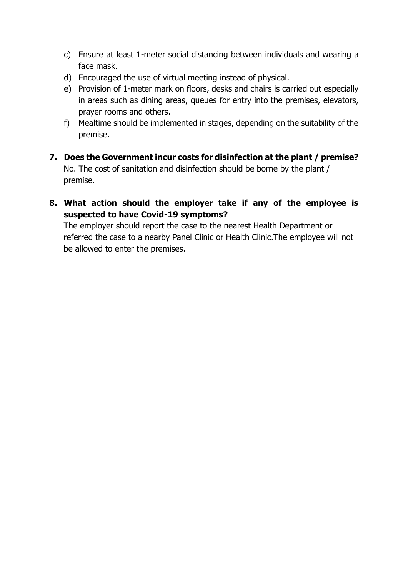- c) Ensure at least 1-meter social distancing between individuals and wearing a face mask.
- d) Encouraged the use of virtual meeting instead of physical.
- e) Provision of 1-meter mark on floors, desks and chairs is carried out especially in areas such as dining areas, queues for entry into the premises, elevators, prayer rooms and others.
- f) Mealtime should be implemented in stages, depending on the suitability of the premise.
- **7. Does the Government incur costs for disinfection at the plant / premise?** No. The cost of sanitation and disinfection should be borne by the plant / premise.
- **8. What action should the employer take if any of the employee is suspected to have Covid-19 symptoms?**

The employer should report the case to the nearest Health Department or referred the case to a nearby Panel Clinic or Health Clinic.The employee will not be allowed to enter the premises.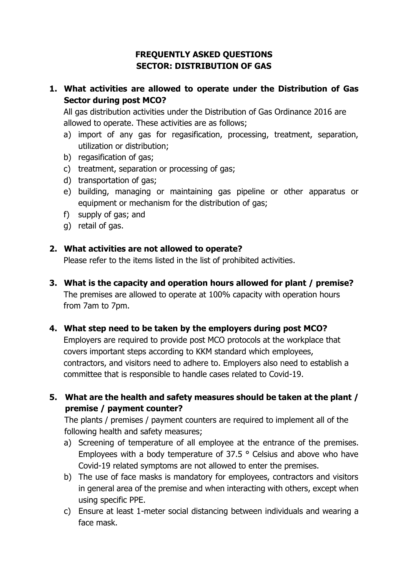# **FREQUENTLY ASKED QUESTIONS SECTOR: DISTRIBUTION OF GAS**

# **1. What activities are allowed to operate under the Distribution of Gas Sector during post MCO?**

All gas distribution activities under the Distribution of Gas Ordinance 2016 are allowed to operate. These activities are as follows;

- a) import of any gas for regasification, processing, treatment, separation, utilization or distribution;
- b) regasification of gas;
- c) treatment, separation or processing of gas;
- d) transportation of gas;
- e) building, managing or maintaining gas pipeline or other apparatus or equipment or mechanism for the distribution of gas;
- f) supply of gas; and
- g) retail of gas.

#### **2. What activities are not allowed to operate?**

Please refer to the items listed in the list of prohibited activities.

**3. What is the capacity and operation hours allowed for plant / premise?** The premises are allowed to operate at 100% capacity with operation hours from 7am to 7pm.

### **4. What step need to be taken by the employers during post MCO?**

Employers are required to provide post MCO protocols at the workplace that covers important steps according to KKM standard which employees, contractors, and visitors need to adhere to. Employers also need to establish a committee that is responsible to handle cases related to Covid-19.

### **5. What are the health and safety measures should be taken at the plant / premise / payment counter?**

The plants / premises / payment counters are required to implement all of the following health and safety measures;

- a) Screening of temperature of all employee at the entrance of the premises. Employees with a body temperature of 37.5 ° Celsius and above who have Covid-19 related symptoms are not allowed to enter the premises.
- b) The use of face masks is mandatory for employees, contractors and visitors in general area of the premise and when interacting with others, except when using specific PPE.
- c) Ensure at least 1-meter social distancing between individuals and wearing a face mask.